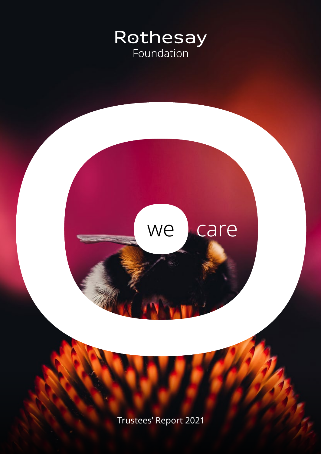

### we care

Trustees' Report 2021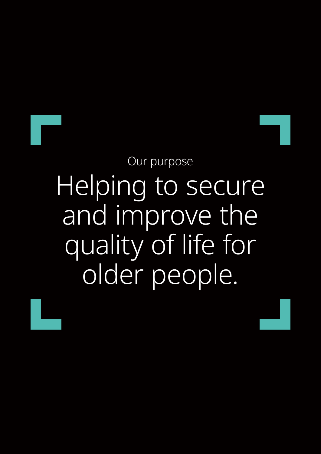

## Helping to secure and improve the quality of life for older people.

Our purpose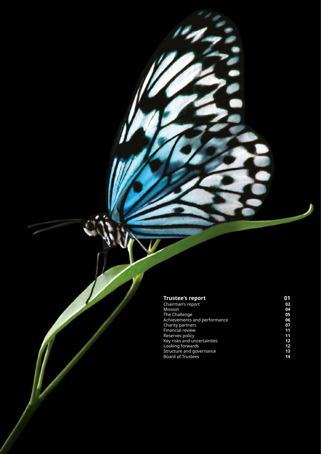#### **Trustee's report 01**

| Chairman's report            | 02 |
|------------------------------|----|
| Mission                      | 04 |
| The Challenge                | 05 |
| Achievements and performance | 06 |
| Charity partners             | 07 |
| <b>Financial review</b>      | 11 |
| Reserves policy              | 11 |
| Key risks and uncertainties  | 12 |
| Looking forwards             | 12 |
| Structure and governance     | 13 |
| <b>Board of Trustees</b>     | 14 |
|                              |    |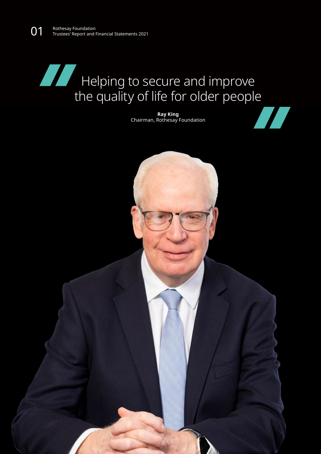### Helping to secure and improve the quality of life for older people

**Ray King** Chairman, Rothesay Foundation

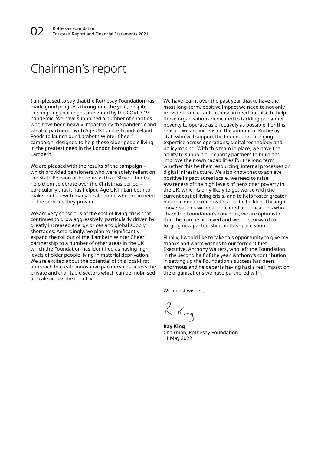#### Chairman's report

I am pleased to say that the Rothesay Foundation has made good progress throughout the year, despite the ongoing challenges presented by the COVID-19 pandemic. We have supported a number of charities who have been heavily impacted by the pandemic and we also partnered with Age UK Lambeth and Iceland Foods to launch our 'Lambeth Winter Cheer' campaign, designed to help those older people living in the greatest need in the London borough of Lambeth.

We are pleased with the results of the campaign – which provided pensioners who were solely reliant on the State Pension or benefits with a £30 voucher to help them celebrate over the Christmas period – particularly that it has helped Age UK in Lambeth to make contact with many local people who are in need of the services they provide.

We are very conscious of the cost of living crisis that continues to grow aggressively, particularly driven by greatly increased energy prices and global supply shortages. Accordingly, we plan to significantly expand the roll out of the 'Lambeth Winter Cheer' partnership to a number of other areas in the UK which the Foundation has identified as having high levels of older people living in material deprivation. We are excited about the potential of this local-first approach to create innovative partnerships across the private and charitable sectors which can be mobilised at scale across the country.

We have learnt over the past year that to have the most long-term, positive impact we need to not only provide financial aid to those in need but also to help those organisations dedicated to tackling pensioner poverty to operate as effectively as possible. For this reason, we are increasing the amount of Rothesay staff who will support the Foundation, bringing expertise across operations, digital technology and policymaking. With this team in place, we have the ability to support our charity partners to build and improve their own capabilities for the long term, whether this be their resourcing, internal processes or digital infrastructure. We also know that to achieve positive impact at real scale, we need to raise awareness of the high levels of pensioner poverty in the UK, which is only likely to get worse with the current cost of living crisis, and to help foster greater national debate on how this can be tackled. Through conversations with national media publications who share the Foundation's concerns, we are optimistic that this can be achieved and we look forward to forging new partnerships in this space soon.

Finally, I would like to take this opportunity to give my thanks and warm wishes to our former Chief Executive, Anthony Walters, who left the Foundation in the second half of the year. Anthony's contribution in setting up the Foundation's success has been enormous and he departs having had a real impact on the organisations we have partnered with.

With best wishes,

 $2$   $K_{\text{reg}}$ 

**Ray King** Chairman, Rothesay Foundation 11 May 2022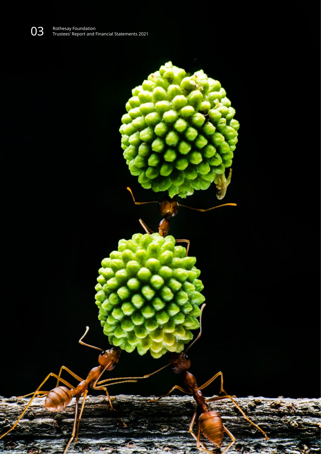#### **03** Rothesay Foundation<br>**03** Trustees' Report and Financial Statements 2021

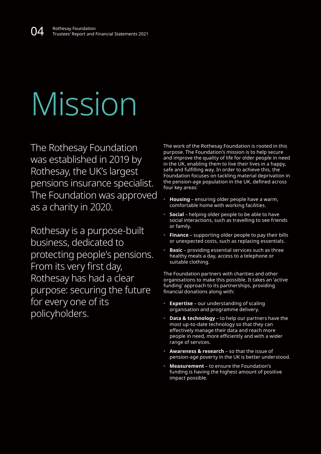# Mission

The Rothesay Foundation was established in 2019 by Rothesay, the UK's largest pensions insurance specialist. The Foundation was approved as a charity in 2020.

Rothesay is a purpose-built business, dedicated to protecting people's pensions. From its very first day, Rothesay has had a clear purpose: securing the future for every one of its policyholders.

The work of the Rothesay Foundation is rooted in this purpose. The Foundation's mission is to help secure and improve the quality of life for older people in need in the UK, enabling them to live their lives in a happy, safe and fulfilling way. In order to achieve this, the Foundation focuses on tackling material deprivation in the pension-age population in the UK, defined across four key areas:

- **Housing** ensuring older people have a warm, comfortable home with working facilities.
- **Social** helping older people to be able to have social interactions, such as travelling to see friends or family.
- **Finance** supporting older people to pay their bills or unexpected costs, such as replacing essentials.
- **Basic** providing essential services such as three healthy meals a day, access to a telephone or suitable clothing.

The Foundation partners with charities and other organisations to make this possible. It takes an 'active funding' approach to its partnerships, providing financial donations along with:

- **Expertise** our understanding of scaling organisation and programme delivery.
- **Data & technology** to help our partners have the most up-to-date technology so that they can effectively manage their data and reach more people in need, more efficiently and with a wider range of services.
- **Awareness & research**  so that the issue of pension-age poverty in the UK is better understood.
- **Measurement** to ensure the Foundation's funding is having the highest amount of positive impact possible.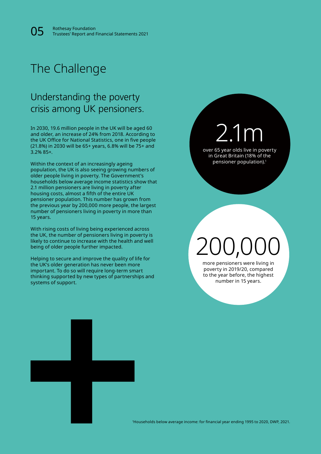#### The Challenge

#### Understanding the poverty crisis among UK pensioners.

In 2030, 19.6 million people in the UK will be aged 60 and older, an increase of 24% from 2018. According to the UK Office for National Statistics, one in five people (21.8%) in 2030 will be 65+ years, 6.8% will be 75+ and 3.2% 85+.

Within the context of an increasingly ageing population, the UK is also seeing growing numbers of older people living in poverty. The Government's households below average income statistics show that 2.1 million pensioners are living in poverty after housing costs, almost a fifth of the entire UK pensioner population. This number has grown from the previous year by 200,000 more people, the largest number of pensioners living in poverty in more than 15 years.

With rising costs of living being experienced across the UK, the number of pensioners living in poverty is likely to continue to increase with the health and well being of older people further impacted.

Helping to secure and improve the quality of life for the UK's older generation has never been more important. To do so will require long-term smart thinking supported by new types of partnerships and systems of support.

21

over 65 year olds live in poverty in Great Britain (18% of the pensioner population).<sup>1</sup>

### 200,000

more pensioners were living in poverty in 2019/20, compared to the year before, the highest number in 15 years.

1 Households below average income: for financial year ending 1995 to 2020, DWP, 2021.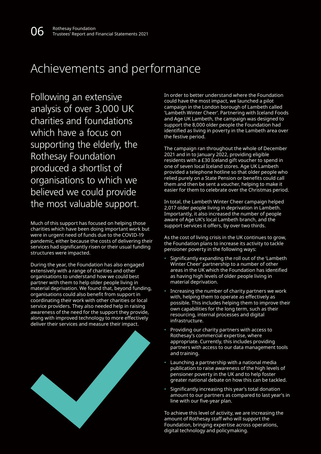#### Achievements and performance

Following an extensive analysis of over 3,000 UK charities and foundations which have a focus on supporting the elderly, the Rothesay Foundation produced a shortlist of organisations to which we believed we could provide the most valuable support.

Much of this support has focused on helping those charities which have been doing important work but were in urgent need of funds due to the COVID-19 pandemic, either because the costs of delivering their services had significantly risen or their usual funding structures were impacted.

During the year, the Foundation has also engaged extensively with a range of charities and other organisations to understand how we could best partner with them to help older people living in material deprivation. We found that, beyond funding, organisations could also benefit from support in coordinating their work with other charities or local service providers. They also needed help in raising awareness of the need for the support they provide, along with improved technology to more effectively deliver their services and measure their impact.



In order to better understand where the Foundation could have the most impact, we launched a pilot campaign in the London borough of Lambeth called 'Lambeth Winter Cheer'. Partnering with Iceland Foods and Age UK Lambeth, the campaign was designed to support the 8,000 older people the Foundation had identified as living in poverty in the Lambeth area over the festive period.

The campaign ran throughout the whole of December 2021 and in to January 2022, providing eligible residents with a £30 Iceland gift voucher to spend in one of seven local Iceland stores. Age UK Lambeth provided a telephone hotline so that older people who relied purely on a State Pension or benefits could call them and then be sent a voucher, helping to make it easier for them to celebrate over the Christmas period.

In total, the Lambeth Winter Cheer campaign helped 2,017 older people living in deprivation in Lambeth. Importantly, it also increased the number of people aware of Age UK's local Lambeth branch, and the support services it offers, by over two thirds.

As the cost of living crisis in the UK continues to grow, the Foundation plans to increase its activity to tackle pensioner poverty in the following ways:

- Significantly expanding the roll out of the 'Lambeth Winter Cheer' partnership to a number of other areas in the UK which the Foundation has identified as having high levels of older people living in material deprivation.
- Increasing the number of charity partners we work with, helping them to operate as effectively as possible. This includes helping them to improve their own capabilities for the long term, such as their resourcing, internal processes and digital infrastructure.
- Providing our charity partners with access to Rothesay's commercial expertise, where appropriate. Currently, this includes providing partners with access to our data management tools and training.
- Launching a partnership with a national media publication to raise awareness of the high levels of pensioner poverty in the UK and to help foster greater national debate on how this can be tackled.
- Significantly increasing this year's total donation amount to our partners as compared to last year's in line with our five-year plan.

To achieve this level of activity, we are increasing the amount of Rothesay staff who will support the Foundation, bringing expertise across operations, digital technology and policymaking.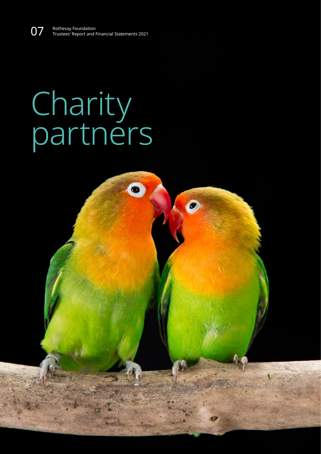# Charity partners

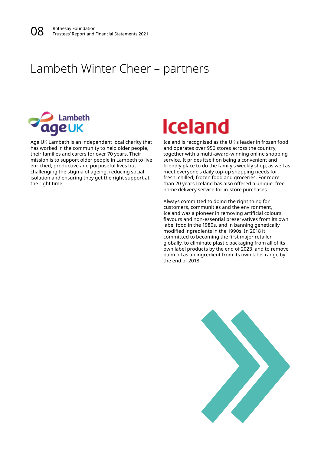#### Lambeth Winter Cheer – partners



Age UK Lambeth is an independent local charity that has worked in the community to help older people, their families and carers for over 70 years. Their mission is to support older people in Lambeth to live enriched, productive and purposeful lives but challenging the stigma of ageing, reducing social isolation and ensuring they get the right support at the right time.

### **Iceland**

Iceland is recognised as the UK's leader in frozen food and operates over 950 stores across the country, together with a multi-award-winning online shopping service. It prides itself on being a convenient and friendly place to do the family's weekly shop, as well as meet everyone's daily top-up shopping needs for fresh, chilled, frozen food and groceries. For more than 20 years Iceland has also offered a unique, free home delivery service for in-store purchases.

Always committed to doing the right thing for customers, communities and the environment, Iceland was a pioneer in removing artificial colours, flavours and non-essential preservatives from its own label food in the 1980s, and in banning genetically modified ingredients in the 1990s. In 2018 it committed to becoming the first major retailer, globally, to eliminate plastic packaging from all of its own label products by the end of 2023, and to remove palm oil as an ingredient from its own label range by the end of 2018.

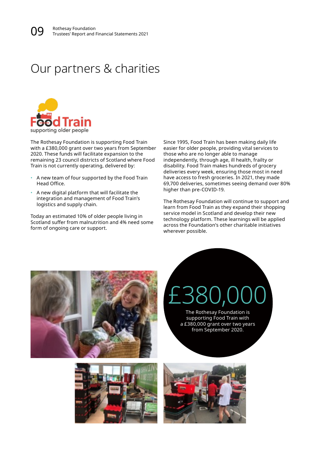#### Our partners & charities



The Rothesay Foundation is supporting Food Train with a £380,000 grant over two years from September 2020. These funds will facilitate expansion to the remaining 23 council districts of Scotland where Food Train is not currently operating, delivered by:

- A new team of four supported by the Food Train Head Office.
- A new digital platform that will facilitate the integration and management of Food Train's logistics and supply chain.

Today an estimated 10% of older people living in Scotland suffer from malnutrition and 4% need some form of ongoing care or support.

Since 1995, Food Train has been making daily life easier for older people, providing vital services to those who are no longer able to manage independently, through age, ill health, frailty or disability. Food Train makes hundreds of grocery deliveries every week, ensuring those most in need have access to fresh groceries. In 2021, they made 69,700 deliveries, sometimes seeing demand over 80% higher than pre-COVID-19.

The Rothesay Foundation will continue to support and learn from Food Train as they expand their shopping service model in Scotland and develop their new technology platform. These learnings will be applied across the Foundation's other charitable initiatives wherever possible.



# £380,000

The Rothesay Foundation is supporting Food Train with a £380,000 grant over two years from September 2020.



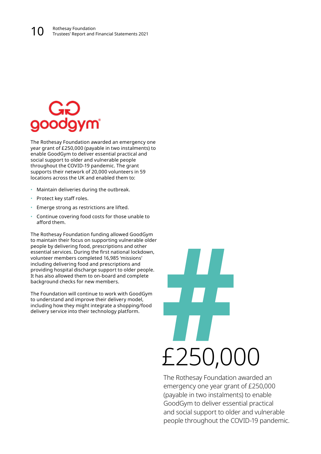The Rothesay Foundation awarded an emergency one year grant of £250,000 (payable in two instalments) to enable GoodGym to deliver essential practical and social support to older and vulnerable people throughout the COVID-19 pandemic. The grant supports their network of 20,000 volunteers in 59 locations across the UK and enabled them to:

- Maintain deliveries during the outbreak.
- Protect key staff roles.
- Emerge strong as restrictions are lifted.
- Continue covering food costs for those unable to afford them.

The Rothesay Foundation funding allowed GoodGym to maintain their focus on supporting vulnerable older people by delivering food, prescriptions and other essential services. During the first national lockdown, volunteer members completed 16,985 'missions' including delivering food and prescriptions and providing hospital discharge support to older people. It has also allowed them to on-board and complete background checks for new members.

The Foundation will continue to work with GoodGym to understand and improve their delivery model, including how they might integrate a shopping/food delivery service into their technology platform.



The Rothesay Foundation awarded an emergency one year grant of £250,000 (payable in two instalments) to enable GoodGym to deliver essential practical and social support to older and vulnerable people throughout the COVID-19 pandemic.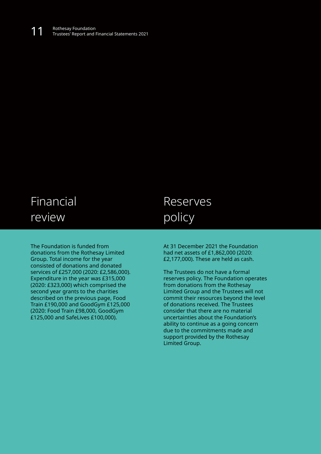#### 11 Rothesay Foundation<br>Trustees' Report and Financial Statements 2021

#### Financial review

### Reserves policy

The Foundation is funded from donations from the Rothesay Limited Group. Total income for the year consisted of donations and donated services of £257,000 (2020: £2,586,000). Expenditure in the year was £315,000 (2020: £323,000) which comprised the second year grants to the charities described on the previous page, Food Train £190,000 and GoodGym £125,000 (2020: Food Train £98,000, GoodGym £125,000 and SafeLives £100,000).

At 31 December 2021 the Foundation had net assets of £1,862,000 (2020: £2,177,000). These are held as cash.

The Trustees do not have a formal reserves policy. The Foundation operates from donations from the Rothesay Limited Group and the Trustees will not commit their resources beyond the level of donations received. The Trustees consider that there are no material uncertainties about the Foundation's ability to continue as a going concern due to the commitments made and support provided by the Rothesay Limited Group.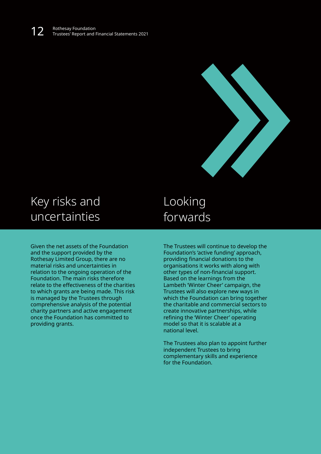

### Key risks and uncertainties

### Looking forwards

Given the net assets of the Foundation and the support provided by the Rothesay Limited Group, there are no material risks and uncertainties in relation to the ongoing operation of the Foundation. The main risks therefore relate to the effectiveness of the charities to which grants are being made. This risk is managed by the Trustees through comprehensive analysis of the potential charity partners and active engagement once the Foundation has committed to providing grants.

The Trustees will continue to develop the Foundation's 'active funding' approach, providing financial donations to the organisations it works with along with other types of non-financial support. Based on the learnings from the Lambeth 'Winter Cheer' campaign, the Trustees will also explore new ways in which the Foundation can bring together the charitable and commercial sectors to create innovative partnerships, while refining the 'Winter Cheer' operating model so that it is scalable at a national level.

The Trustees also plan to appoint further independent Trustees to bring complementary skills and experience for the Foundation.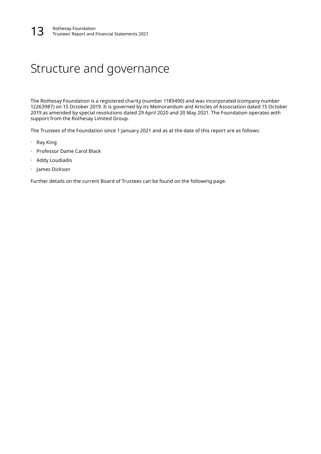#### Structure and governance

The Rothesay Foundation is a registered charity (number 1189490) and was incorporated (company number 12263987) on 15 October 2019. It is governed by its Memorandum and Articles of Association dated 15 October 2019 as amended by special resolutions dated 29 April 2020 and 20 May 2021. The Foundation operates with support from the Rothesay Limited Group.

The Trustees of the Foundation since 1 January 2021 and as at the date of this report are as follows:

- Ray King
- Professor Dame Carol Black
- Addy Loudiadis
- James Dickson

Further details on the current Board of Trustees can be found on the following page.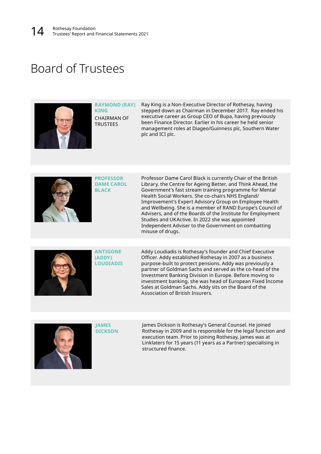#### Board of Trustees



**RAYMOND (RAY) KING** CHAIRMAN OF **TRUSTEES** 

Ray King is a Non-Executive Director of Rothesay, having stepped down as Chairman in December 2017. Ray ended his executive career as Group CEO of Bupa, having previously been Finance Director. Earlier in his career he held senior management roles at Diageo/Guinness plc, Southern Water plc and ICI plc.



#### **PROFESSOR DAME CAROL BLACK**

Professor Dame Carol Black is currently Chair of the British Library, the Centre for Ageing Better, and Think Ahead, the Government's fast stream training programme for Mental Health Social Workers. She co-chairs NHS England/ Improvement's Expert Advisory Group on Employee Health and Wellbeing. She is a member of RAND Europe's Council of Advisers, and of the Boards of the Institute for Employment Studies and UKActive. In 2022 she was appointed Independent Adviser to the Government on combatting misuse of drugs.



**ANTIGONE (ADDY) LOUDIADIS** Addy Loudiadis is Rothesay's founder and Chief Executive Officer. Addy established Rothesay in 2007 as a business purpose-built to protect pensions. Addy was previously a partner of Goldman Sachs and served as the co-head of the Investment Banking Division in Europe. Before moving to investment banking, she was head of European Fixed Income Sales at Goldman Sachs. Addy sits on the Board of the Association of British Insurers.



**JAMES DICKSON** James Dickson is Rothesay's General Counsel. He joined Rothesay in 2009 and is responsible for the legal function and execution team. Prior to joining Rothesay, James was at Linklaters for 15 years (11 years as a Partner) specialising in structured finance.